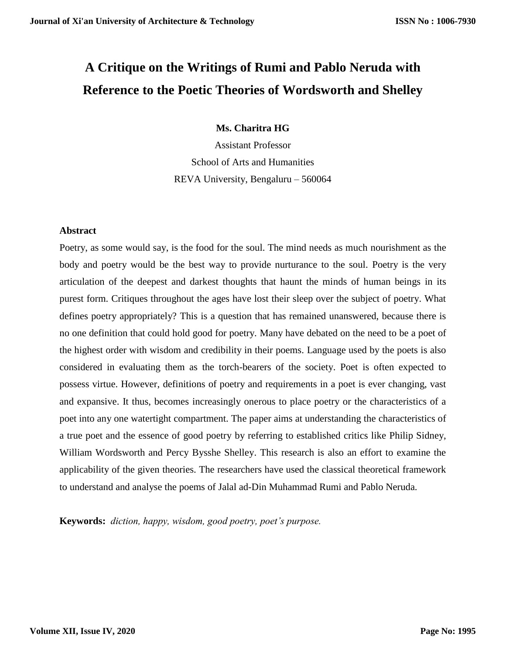# **A Critique on the Writings of Rumi and Pablo Neruda with Reference to the Poetic Theories of Wordsworth and Shelley**

**Ms. Charitra HG**

Assistant Professor School of Arts and Humanities REVA University, Bengaluru – 560064

# **Abstract**

Poetry, as some would say, is the food for the soul. The mind needs as much nourishment as the body and poetry would be the best way to provide nurturance to the soul. Poetry is the very articulation of the deepest and darkest thoughts that haunt the minds of human beings in its purest form. Critiques throughout the ages have lost their sleep over the subject of poetry. What defines poetry appropriately? This is a question that has remained unanswered, because there is no one definition that could hold good for poetry. Many have debated on the need to be a poet of the highest order with wisdom and credibility in their poems. Language used by the poets is also considered in evaluating them as the torch-bearers of the society. Poet is often expected to possess virtue. However, definitions of poetry and requirements in a poet is ever changing, vast and expansive. It thus, becomes increasingly onerous to place poetry or the characteristics of a poet into any one watertight compartment. The paper aims at understanding the characteristics of a true poet and the essence of good poetry by referring to established critics like Philip Sidney, William Wordsworth and Percy Bysshe Shelley. This research is also an effort to examine the applicability of the given theories. The researchers have used the classical theoretical framework to understand and analyse the poems of Jalal ad-Din Muhammad Rumi and Pablo Neruda.

**Keywords:** *diction, happy, wisdom, good poetry, poet's purpose.*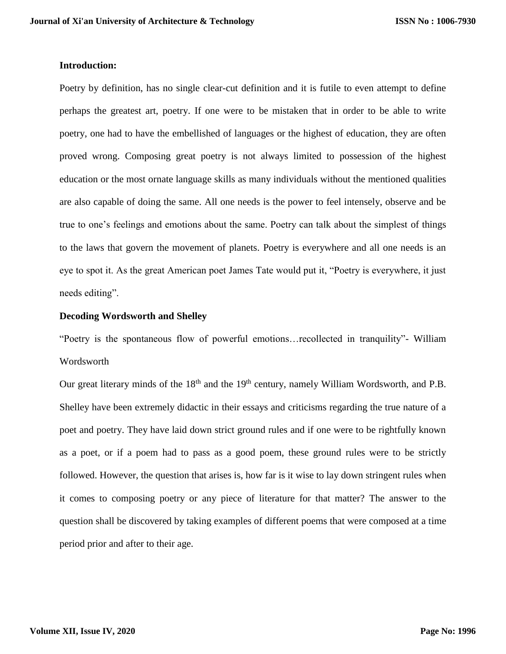# **Introduction:**

Poetry by definition, has no single clear-cut definition and it is futile to even attempt to define perhaps the greatest art, poetry. If one were to be mistaken that in order to be able to write poetry, one had to have the embellished of languages or the highest of education, they are often proved wrong. Composing great poetry is not always limited to possession of the highest education or the most ornate language skills as many individuals without the mentioned qualities are also capable of doing the same. All one needs is the power to feel intensely, observe and be true to one's feelings and emotions about the same. Poetry can talk about the simplest of things to the laws that govern the movement of planets. Poetry is everywhere and all one needs is an eye to spot it. As the great American poet James Tate would put it, "Poetry is everywhere, it just needs editing".

# **Decoding Wordsworth and Shelley**

"Poetry is the spontaneous flow of powerful emotions…recollected in tranquility"- William Wordsworth

Our great literary minds of the 18<sup>th</sup> and the 19<sup>th</sup> century, namely William Wordsworth, and P.B. Shelley have been extremely didactic in their essays and criticisms regarding the true nature of a poet and poetry. They have laid down strict ground rules and if one were to be rightfully known as a poet, or if a poem had to pass as a good poem, these ground rules were to be strictly followed. However, the question that arises is, how far is it wise to lay down stringent rules when it comes to composing poetry or any piece of literature for that matter? The answer to the question shall be discovered by taking examples of different poems that were composed at a time period prior and after to their age.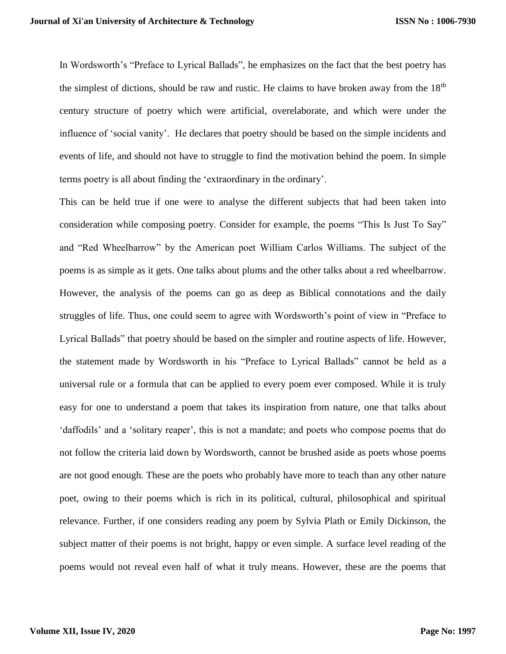In Wordsworth's "Preface to Lyrical Ballads", he emphasizes on the fact that the best poetry has the simplest of dictions, should be raw and rustic. He claims to have broken away from the  $18<sup>th</sup>$ century structure of poetry which were artificial, overelaborate, and which were under the influence of 'social vanity'. He declares that poetry should be based on the simple incidents and events of life, and should not have to struggle to find the motivation behind the poem. In simple terms poetry is all about finding the 'extraordinary in the ordinary'.

This can be held true if one were to analyse the different subjects that had been taken into consideration while composing poetry. Consider for example, the poems "This Is Just To Say" and "Red Wheelbarrow" by the American poet William Carlos Williams. The subject of the poems is as simple as it gets. One talks about plums and the other talks about a red wheelbarrow. However, the analysis of the poems can go as deep as Biblical connotations and the daily struggles of life. Thus, one could seem to agree with Wordsworth's point of view in "Preface to Lyrical Ballads" that poetry should be based on the simpler and routine aspects of life. However, the statement made by Wordsworth in his "Preface to Lyrical Ballads" cannot be held as a universal rule or a formula that can be applied to every poem ever composed. While it is truly easy for one to understand a poem that takes its inspiration from nature, one that talks about 'daffodils' and a 'solitary reaper', this is not a mandate; and poets who compose poems that do not follow the criteria laid down by Wordsworth, cannot be brushed aside as poets whose poems are not good enough. These are the poets who probably have more to teach than any other nature poet, owing to their poems which is rich in its political, cultural, philosophical and spiritual relevance. Further, if one considers reading any poem by Sylvia Plath or Emily Dickinson, the subject matter of their poems is not bright, happy or even simple. A surface level reading of the poems would not reveal even half of what it truly means. However, these are the poems that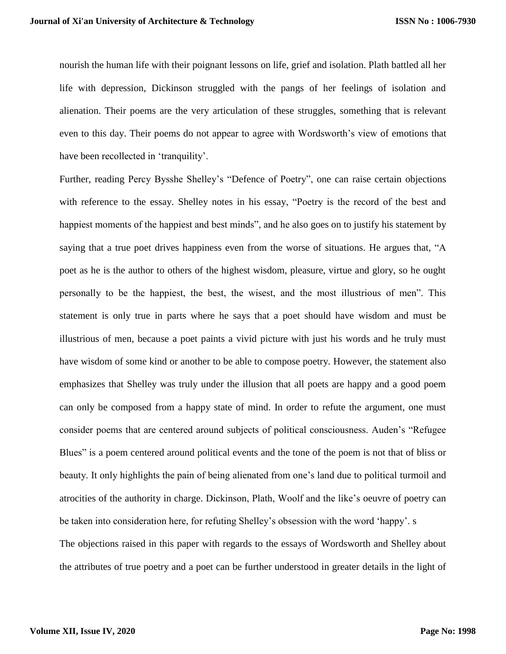nourish the human life with their poignant lessons on life, grief and isolation. Plath battled all her life with depression, Dickinson struggled with the pangs of her feelings of isolation and alienation. Their poems are the very articulation of these struggles, something that is relevant even to this day. Their poems do not appear to agree with Wordsworth's view of emotions that have been recollected in 'tranquility'.

Further, reading Percy Bysshe Shelley's "Defence of Poetry", one can raise certain objections with reference to the essay. Shelley notes in his essay, "Poetry is the record of the best and happiest moments of the happiest and best minds", and he also goes on to justify his statement by saying that a true poet drives happiness even from the worse of situations. He argues that, "A poet as he is the author to others of the highest wisdom, pleasure, virtue and glory, so he ought personally to be the happiest, the best, the wisest, and the most illustrious of men". This statement is only true in parts where he says that a poet should have wisdom and must be illustrious of men, because a poet paints a vivid picture with just his words and he truly must have wisdom of some kind or another to be able to compose poetry. However, the statement also emphasizes that Shelley was truly under the illusion that all poets are happy and a good poem can only be composed from a happy state of mind. In order to refute the argument, one must consider poems that are centered around subjects of political consciousness. Auden's "Refugee Blues" is a poem centered around political events and the tone of the poem is not that of bliss or beauty. It only highlights the pain of being alienated from one's land due to political turmoil and atrocities of the authority in charge. Dickinson, Plath, Woolf and the like's oeuvre of poetry can be taken into consideration here, for refuting Shelley's obsession with the word 'happy'. s The objections raised in this paper with regards to the essays of Wordsworth and Shelley about the attributes of true poetry and a poet can be further understood in greater details in the light of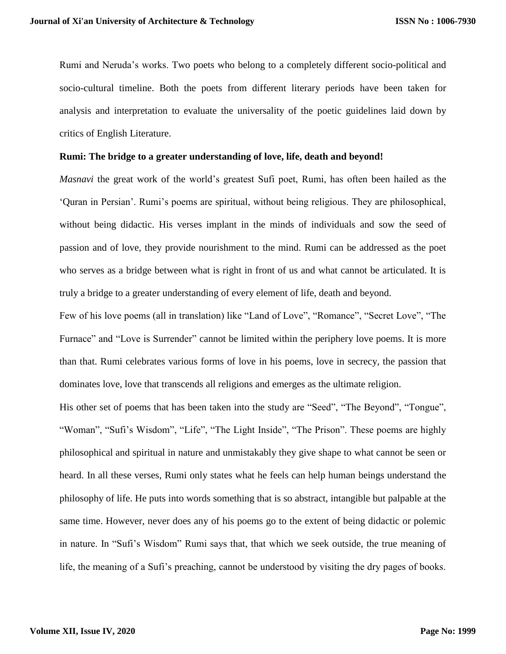Rumi and Neruda's works. Two poets who belong to a completely different socio-political and socio-cultural timeline. Both the poets from different literary periods have been taken for analysis and interpretation to evaluate the universality of the poetic guidelines laid down by critics of English Literature.

# **Rumi: The bridge to a greater understanding of love, life, death and beyond!**

*Masnavi* the great work of the world's greatest Sufi poet, Rumi, has often been hailed as the 'Quran in Persian'. Rumi's poems are spiritual, without being religious. They are philosophical, without being didactic. His verses implant in the minds of individuals and sow the seed of passion and of love, they provide nourishment to the mind. Rumi can be addressed as the poet who serves as a bridge between what is right in front of us and what cannot be articulated. It is truly a bridge to a greater understanding of every element of life, death and beyond.

Few of his love poems (all in translation) like "Land of Love", "Romance", "Secret Love", "The Furnace" and "Love is Surrender" cannot be limited within the periphery love poems. It is more than that. Rumi celebrates various forms of love in his poems, love in secrecy, the passion that dominates love, love that transcends all religions and emerges as the ultimate religion.

His other set of poems that has been taken into the study are "Seed", "The Beyond", "Tongue", "Woman", "Sufi's Wisdom", "Life", "The Light Inside", "The Prison". These poems are highly philosophical and spiritual in nature and unmistakably they give shape to what cannot be seen or heard. In all these verses, Rumi only states what he feels can help human beings understand the philosophy of life. He puts into words something that is so abstract, intangible but palpable at the same time. However, never does any of his poems go to the extent of being didactic or polemic in nature. In "Sufi's Wisdom" Rumi says that, that which we seek outside, the true meaning of life, the meaning of a Sufi's preaching, cannot be understood by visiting the dry pages of books.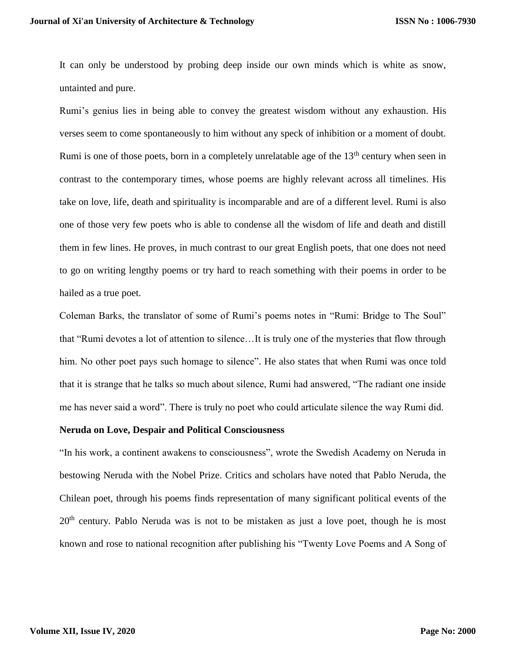It can only be understood by probing deep inside our own minds which is white as snow, untainted and pure.

Rumi's genius lies in being able to convey the greatest wisdom without any exhaustion. His verses seem to come spontaneously to him without any speck of inhibition or a moment of doubt. Rumi is one of those poets, born in a completely unrelatable age of the  $13<sup>th</sup>$  century when seen in contrast to the contemporary times, whose poems are highly relevant across all timelines. His take on love, life, death and spirituality is incomparable and are of a different level. Rumi is also one of those very few poets who is able to condense all the wisdom of life and death and distill them in few lines. He proves, in much contrast to our great English poets, that one does not need to go on writing lengthy poems or try hard to reach something with their poems in order to be hailed as a true poet.

Coleman Barks, the translator of some of Rumi's poems notes in "Rumi: Bridge to The Soul" that "Rumi devotes a lot of attention to silence…It is truly one of the mysteries that flow through him. No other poet pays such homage to silence". He also states that when Rumi was once told that it is strange that he talks so much about silence, Rumi had answered, "The radiant one inside me has never said a word". There is truly no poet who could articulate silence the way Rumi did.

#### **Neruda on Love, Despair and Political Consciousness**

"In his work, a continent awakens to consciousness", wrote the Swedish Academy on Neruda in bestowing Neruda with the Nobel Prize. Critics and scholars have noted that Pablo Neruda, the Chilean poet, through his poems finds representation of many significant political events of the  $20<sup>th</sup>$  century. Pablo Neruda was is not to be mistaken as just a love poet, though he is most known and rose to national recognition after publishing his "Twenty Love Poems and A Song of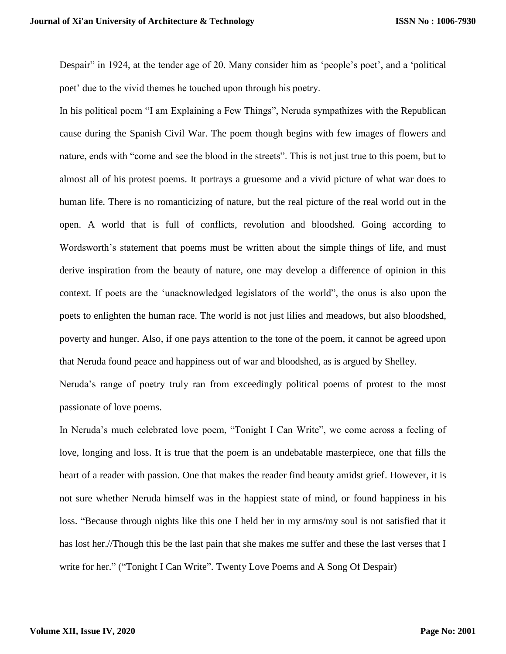Despair" in 1924, at the tender age of 20. Many consider him as 'people's poet', and a 'political poet' due to the vivid themes he touched upon through his poetry.

In his political poem "I am Explaining a Few Things", Neruda sympathizes with the Republican cause during the Spanish Civil War. The poem though begins with few images of flowers and nature, ends with "come and see the blood in the streets". This is not just true to this poem, but to almost all of his protest poems. It portrays a gruesome and a vivid picture of what war does to human life. There is no romanticizing of nature, but the real picture of the real world out in the open. A world that is full of conflicts, revolution and bloodshed. Going according to Wordsworth's statement that poems must be written about the simple things of life, and must derive inspiration from the beauty of nature, one may develop a difference of opinion in this context. If poets are the 'unacknowledged legislators of the world", the onus is also upon the poets to enlighten the human race. The world is not just lilies and meadows, but also bloodshed, poverty and hunger. Also, if one pays attention to the tone of the poem, it cannot be agreed upon that Neruda found peace and happiness out of war and bloodshed, as is argued by Shelley.

Neruda's range of poetry truly ran from exceedingly political poems of protest to the most passionate of love poems.

In Neruda's much celebrated love poem, "Tonight I Can Write", we come across a feeling of love, longing and loss. It is true that the poem is an undebatable masterpiece, one that fills the heart of a reader with passion. One that makes the reader find beauty amidst grief. However, it is not sure whether Neruda himself was in the happiest state of mind, or found happiness in his loss. "Because through nights like this one I held her in my arms/my soul is not satisfied that it has lost her.//Though this be the last pain that she makes me suffer and these the last verses that I write for her." ("Tonight I Can Write". Twenty Love Poems and A Song Of Despair)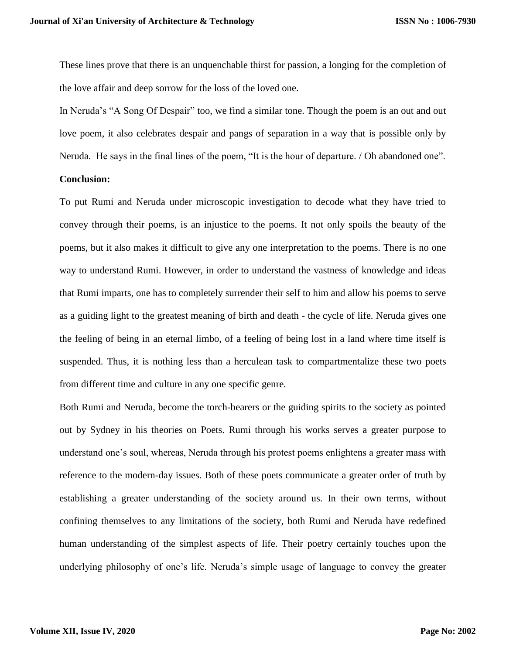These lines prove that there is an unquenchable thirst for passion, a longing for the completion of the love affair and deep sorrow for the loss of the loved one.

In Neruda's "A Song Of Despair" too, we find a similar tone. Though the poem is an out and out love poem, it also celebrates despair and pangs of separation in a way that is possible only by Neruda. He says in the final lines of the poem, "It is the hour of departure. / Oh abandoned one".

# **Conclusion:**

To put Rumi and Neruda under microscopic investigation to decode what they have tried to convey through their poems, is an injustice to the poems. It not only spoils the beauty of the poems, but it also makes it difficult to give any one interpretation to the poems. There is no one way to understand Rumi. However, in order to understand the vastness of knowledge and ideas that Rumi imparts, one has to completely surrender their self to him and allow his poems to serve as a guiding light to the greatest meaning of birth and death - the cycle of life. Neruda gives one the feeling of being in an eternal limbo, of a feeling of being lost in a land where time itself is suspended. Thus, it is nothing less than a herculean task to compartmentalize these two poets from different time and culture in any one specific genre.

Both Rumi and Neruda, become the torch-bearers or the guiding spirits to the society as pointed out by Sydney in his theories on Poets. Rumi through his works serves a greater purpose to understand one's soul, whereas, Neruda through his protest poems enlightens a greater mass with reference to the modern-day issues. Both of these poets communicate a greater order of truth by establishing a greater understanding of the society around us. In their own terms, without confining themselves to any limitations of the society, both Rumi and Neruda have redefined human understanding of the simplest aspects of life. Their poetry certainly touches upon the underlying philosophy of one's life. Neruda's simple usage of language to convey the greater